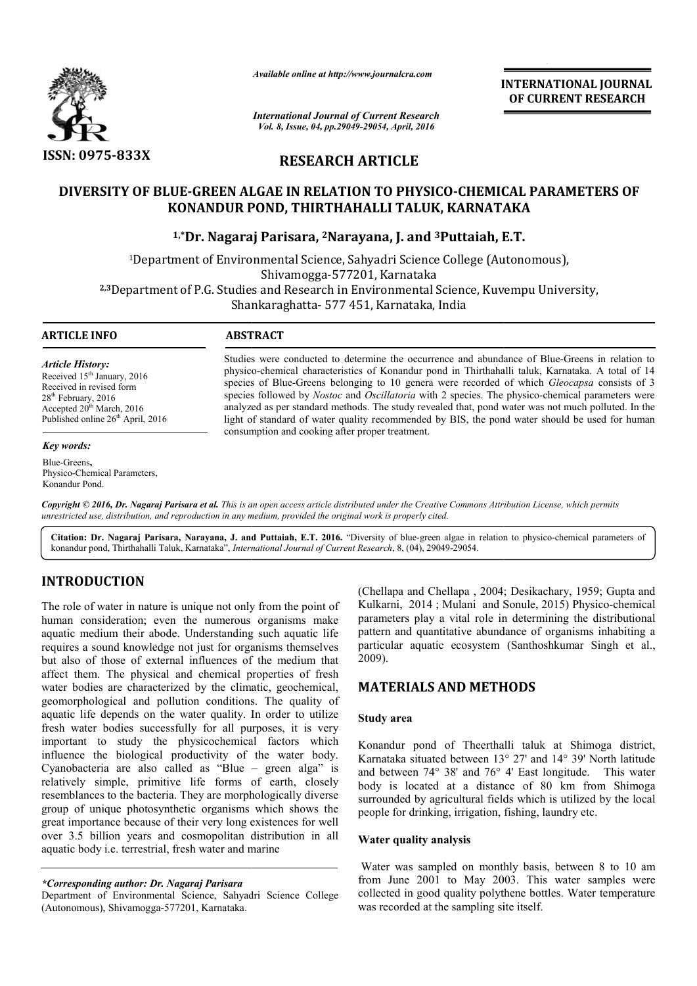

*Available online at http://www.journalcra.com*

*International Journal of Current Research Vol. 8, Issue, 04, pp.29049-29054, April, 2016*

**INTERNATIONAL JOURNAL OF CURRENT RESEARCH** 

**RESEARCH ARTICLE**

# **DIVERSITY OF BLUE-GREEN ALGAE IN RELATION TO PHYSICO GREEN PHYSICO-CHEMICAL PARAMETERS OF CHEMICAL KONANDUR POND, THIRTHAHALLI TALUK, KARNATAKA**

**1,\*Dr. Nagaraj Parisara, 2Narayana, J. and 3Puttaiah, E.T.**

1Department of Environmental Science, Sahyadri Science College (Autonomous), Department Shivamogga-577201, Karnataka <sup>1</sup>Department of Environmental Science, Sahyadri Science College (Autonomous),<br>Shivamogga-577201, Karnataka<br><sup>2,3</sup>Department of P.G. Studies and Research in Environmental Science, Kuvempu University, Shankaraghatta Shankaraghatta- 577 451, Karnataka, India

1

**ARTICLE INFO ABSTRACT**

*Article History:* Received 15<sup>th</sup> January, 2016 Received in revised form 28<sup>th</sup> February, 2016 Accepted  $20<sup>th</sup>$  March, 2016 Published online 26<sup>th</sup> April, 2016

#### *Key words:*

Blue-Greens**,**  Physico-Chemical Parameters, Konandur Pond.

Studies were conducted to determine the occurrence and abundance of Blue-Greens in relation to physico physico-chemical characteristics of Konandur pond in Thirthahalli taluk, Karnataka. A total of 14 physico-chemical characteristics of Konandur pond in Thirthahalli taluk, Karnataka. A total of 14 species of Blue-Greens belonging to 10 genera were recorded of which *Gleocapsa* consists of 3 species followed by *Nostoc* and *Oscillatoria* with 2 species. The physico-chemical parameters were analyzed as per standard methods. The study revealed that, pond water was not much polluted. In the analyzed as per standard methods. The study revealed that, pond water was not much polluted. In the light of standard of water quality recommended by BIS, the pond water should be used for human consumption and cooking after proper treatment. **Body of the size of the size of the size of the size of the size of the size of the size of the size of the CORRENT RESEARCH<br>
ARTICLE BY UNITSICO-CHEMICAL PARAMETERS OF<br>
AALLI TALUK, KARNATAKA<br>
UP and , 1 and <sup>2</sup>Puttaian** 

Copyright © 2016, Dr. Nagaraj Parisara et al. This is an open access article distributed under the Creative Commons Attribution License, which permits *unrestricted use, distribution, and reproduction in any medium, provided the original work is properly cited.*

Citation: Dr. Nagaraj Parisara, Narayana, J. and Puttaiah, E.T. 2016. "Diversity of blue-green algae in relation to physico-chemical parameters of konandur pond, Thirthahalli Taluk, Karnataka", *International Journal of Current Research* , 8, (04), 29049-29054.

# **INTRODUCTION**

The role of water in nature is unique not only from the point of human consideration; even the numerous organisms make aquatic medium their abode. Understanding such aquatic life requires a sound knowledge not just for organisms themselves but also of those of external influences of the medium that affect them. The physical and chemical properties of fresh water bodies are characterized by the climatic, geochemical, geomorphological and pollution conditions. The quality of aquatic life depends on the water quality. In order to utilize fresh water bodies successfully for all purposes, it is very important to study the physicochemical factors which influence the biological productivity of the water body. Cyanobacteria are also called as "Blue – green alga" is relatively simple, primitive life forms of earth, closely resemblances to the bacteria. They are morphologically diverse group of unique photosynthetic organisms which shows the great importance because of their very long existences for well over 3.5 billion years and cosmopolitan distribution in all aquatic body i.e. terrestrial, fresh water and marine constant (Chellapa and Chellapa , 2004; Desikachary, 1959; Gupta and deration; even the numerous organisms make harameters play a vital role in deromining the distributional moment in the merrous organisms make harameters

*\*Corresponding author: Dr. Nagaraj Parisara*

Department of Environmental Science, Sahyadri Science College (Autonomous), Shivamogga-577201, Karnataka.

Kulkarni, 2014; Mulani and Sonule, 2015) Physico-chemical parameters play a vital role in determining the distributional pattern and quantitative abundance of organisms inhabiting a particular aquatic ecosystem (Santhoshkumar Singh et al., 2009). (Chellapa and Chellapa, 2004; Desikachary, 1959; Gupta and play a vital role in determining<br>d quantitative abundance of organ<br>aquatic ecosystem (Santhoshkun

# **MATERIALS AND METHODS METHODS**

### **Study area**

Konandur pond of Theerthalli taluk at Shimoga district, Karnataka situated between 13° 27' and 14° 39' North latitude and between 74° 38' and 76° 4' East longitude. body is located at a distance of 80 km from Shimoga surrounded by agricultural fields which is utilized by the local people for drinking, irrigation, fishing, laundry etc. Konandur pond of Theerthalli taluk at Shimoga district, Karnataka situated between  $13^{\circ}$  27' and  $14^{\circ}$  39' North latitude and between  $74^{\circ}$  38' and  $76^{\circ}$  4' East longitude. This water

## **Water quality analysis**

Water was sampled on monthly basis, between 8 to 10 am from June 2001 to May 2003. This water samples were collected in good quality polythene bottles. Water temperature was recorded at the sampling site itself.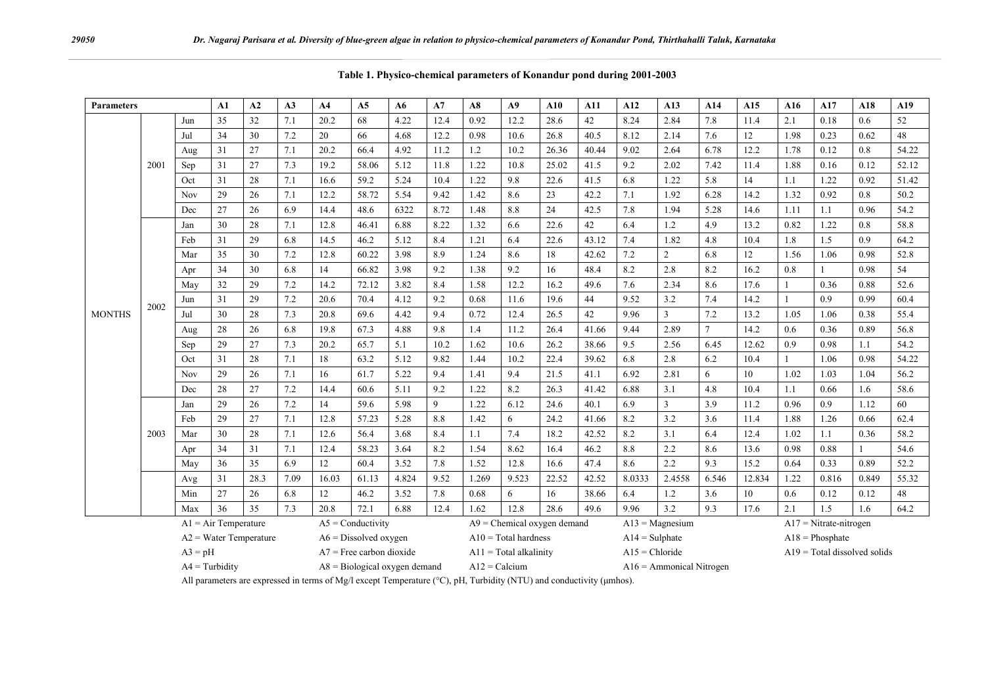| <b>Parameters</b> |                          | A1                     | A2 | A3                      | A <sub>4</sub>             | A5                  | A6                     | A7    | A8                            | A9               | ${\bf A10}$ | A11               | A12    | A13               | A14    | A15                            | A16    | A17          | A18          | A19   |       |
|-------------------|--------------------------|------------------------|----|-------------------------|----------------------------|---------------------|------------------------|-------|-------------------------------|------------------|-------------|-------------------|--------|-------------------|--------|--------------------------------|--------|--------------|--------------|-------|-------|
| <b>MONTHS</b>     | 2001                     | Jun                    | 35 | 32                      | 7.1                        | 20.2                | 68                     | 4.22  | 12.4                          | 0.92             | 12.2        | 28.6              | 42     | 8.24              | 2.84   | 7.8                            | 11.4   | 2.1          | 0.18         | 0.6   | 52    |
|                   |                          | Jul                    | 34 | 30                      | 7.2                        | 20                  | 66                     | 4.68  | 12.2                          | 0.98             | 10.6        | 26.8              | 40.5   | 8.12              | 2.14   | 7.6                            | 12     | 1.98         | 0.23         | 0.62  | 48    |
|                   |                          | Aug                    | 31 | 27                      | 7.1                        | 20.2                | 66.4                   | 4.92  | 11.2                          | 1.2              | 10.2        | 26.36             | 40.44  | 9.02              | 2.64   | 6.78                           | 12.2   | 1.78         | 0.12         | 0.8   | 54.22 |
|                   |                          | Sep                    | 31 | 27                      | 7.3                        | 19.2                | 58.06                  | 5.12  | 11.8                          | 1.22             | 10.8        | 25.02             | 41.5   | 9.2               | 2.02   | 7.42                           | 11.4   | 1.88         | 0.16         | 0.12  | 52.12 |
|                   |                          | Oct                    | 31 | $28\,$                  | 7.1                        | 16.6                | 59.2                   | 5.24  | 10.4                          | 1.22             | 9.8         | 22.6              | 41.5   | 6.8               | 1.22   | 5.8                            | 14     | 1.1          | 1.22         | 0.92  | 51.42 |
|                   |                          | <b>Nov</b>             | 29 | 26                      | 7.1                        | 12.2                | 58.72                  | 5.54  | 9.42                          | 1.42             | 8.6         | 23                | 42.2   | 7.1               | 1.92   | 6.28                           | 14.2   | 1.32         | 0.92         | 0.8   | 50.2  |
|                   |                          | Dec                    | 27 | 26                      | 6.9                        | 14.4                | 48.6                   | 6322  | 8.72                          | 1.48             | 8.8         | 24                | 42.5   | 7.8               | 1.94   | 5.28                           | 14.6   | 1.11         | 1.1          | 0.96  | 54.2  |
|                   |                          | Jan                    | 30 | 28                      | 7.1                        | 12.8                | 46.41                  | 6.88  | 8.22                          | 1.32             | 6.6         | 22.6              | $42\,$ | 6.4               | 1.2    | 4.9                            | 13.2   | 0.82         | 1.22         | 0.8   | 58.8  |
|                   |                          | Feb                    | 31 | 29                      | 6.8                        | 14.5                | 46.2                   | 5.12  | 8.4                           | 1.21             | 6.4         | 22.6              | 43.12  | 7.4               | 1.82   | 4.8                            | 10.4   | 1.8          | 1.5          | 0.9   | 64.2  |
|                   | 2002                     | Mar                    | 35 | 30                      | 7.2                        | 12.8                | 60.22                  | 3.98  | 8.9                           | 1.24             | 8.6         | 18                | 42.62  | 7.2               | 2      | 6.8                            | 12     | 1.56         | 1.06         | 0.98  | 52.8  |
|                   |                          | Apr                    | 34 | 30                      | 6.8                        | 14                  | 66.82                  | 3.98  | 9.2                           | 1.38             | 9.2         | 16                | 48.4   | 8.2               | 2.8    | 8.2                            | 16.2   | 0.8          | $\mathbf{1}$ | 0.98  | 54    |
|                   |                          | May                    | 32 | 29                      | 7.2                        | 14.2                | 72.12                  | 3.82  | 8.4                           | 1.58             | 12.2        | 16.2              | 49.6   | 7.6               | 2.34   | 8.6                            | 17.6   | $\mathbf{1}$ | 0.36         | 0.88  | 52.6  |
|                   |                          | Jun                    | 31 | 29                      | 7.2                        | 20.6                | 70.4                   | 4.12  | 9.2                           | 0.68             | 11.6        | 19.6              | 44     | 9.52              | 3.2    | 7.4                            | 14.2   | $\mathbf{1}$ | 0.9          | 0.99  | 60.4  |
|                   |                          | Jul                    | 30 | 28                      | 7.3                        | 20.8                | 69.6                   | 4.42  | 9.4                           | 0.72             | 12.4        | 26.5              | 42     | 9.96              | 3      | 7.2                            | 13.2   | 1.05         | 1.06         | 0.38  | 55.4  |
|                   |                          | Aug                    | 28 | 26                      | 6.8                        | 19.8                | 67.3                   | 4.88  | 9.8                           | 1.4              | 11.2        | 26.4              | 41.66  | 9.44              | 2.89   | $\tau$                         | 14.2   | 0.6          | 0.36         | 0.89  | 56.8  |
|                   |                          | Sep                    | 29 | 27                      | 7.3                        | 20.2                | 65.7                   | 5.1   | 10.2                          | 1.62             | 10.6        | 26.2              | 38.66  | 9.5               | 2.56   | 6.45                           | 12.62  | 0.9          | 0.98         | 1.1   | 54.2  |
|                   |                          | Oct                    | 31 | 28                      | 7.1                        | 18                  | 63.2                   | 5.12  | 9.82                          | 1.44             | 10.2        | 22.4              | 39.62  | 6.8               | 2.8    | 6.2                            | 10.4   | $\mathbf{1}$ | 1.06         | 0.98  | 54.22 |
|                   |                          | Nov                    | 29 | 26                      | 7.1                        | 16                  | 61.7                   | 5.22  | 9.4                           | 1.41             | 9.4         | 21.5              | 41.1   | 6.92              | 2.81   | 6                              | 10     | 1.02         | 1.03         | 1.04  | 56.2  |
|                   |                          | Dec                    | 28 | 27                      | 7.2                        | 14.4                | 60.6                   | 5.11  | 9.2                           | 1.22             | 8.2         | 26.3              | 41.42  | 6.88              | 3.1    | 4.8                            | 10.4   | 1.1          | 0.66         | 1.6   | 58.6  |
|                   | 2003                     | Jan                    | 29 | 26                      | 7.2                        | 14                  | 59.6                   | 5.98  | 9                             | 1.22             | 6.12        | 24.6              | 40.1   | 6.9               | 3      | 3.9                            | 11.2   | 0.96         | 0.9          | 1.12  | 60    |
|                   |                          | Feb                    | 29 | 27                      | 7.1                        | 12.8                | 57.23                  | 5.28  | 8.8                           | 1.42             | 6           | 24.2              | 41.66  | 8.2               | 3.2    | 3.6                            | 11.4   | 1.88         | 1.26         | 0.66  | 62.4  |
|                   |                          | Mar                    | 30 | 28                      | 7.1                        | 12.6                | 56.4                   | 3.68  | 8.4                           | 1.1              | 7.4         | 18.2              | 42.52  | 8.2               | 3.1    | 6.4                            | 12.4   | 1.02         | 1.1          | 0.36  | 58.2  |
|                   |                          | Apr                    | 34 | 31                      | 7.1                        | 12.4                | 58.23                  | 3.64  | 8.2                           | 1.54             | 8.62        | 16.4              | 46.2   | 8.8               | 2.2    | 8.6                            | 13.6   | 0.98         | 0.88         |       | 54.6  |
|                   |                          | May                    | 36 | 35                      | 6.9                        | 12                  | 60.4                   | 3.52  | 7.8                           | 1.52             | 12.8        | 16.6              | 47.4   | 8.6               | 2.2    | 9.3                            | 15.2   | 0.64         | 0.33         | 0.89  | 52.2  |
|                   |                          | Avg                    | 31 | 28.3                    | 7.09                       | 16.03               | 61.13                  | 4.824 | 9.52                          | 1.269            | 9.523       | 22.52             | 42.52  | 8.0333            | 2.4558 | 6.546                          | 12.834 | 1.22         | 0.816        | 0.849 | 55.32 |
|                   |                          | Min                    | 27 | 26                      | 6.8                        | 12                  | 46.2                   | 3.52  | 7.8                           | 0.68             | 6           | 16                | 38.66  | 6.4               | 1.2    | 3.6                            | 10     | 0.6          | 0.12         | 0.12  | 48    |
|                   |                          | Max                    | 36 | 35                      | 7.3                        | 20.8                | 72.1                   | 6.88  | 12.4                          | 1.62             | 12.8        | 28.6              | 49.6   | 9.96              | 3.2    | 9.3                            | 17.6   | 2.1          | 1.5          | 1.6   | 64.2  |
|                   |                          | $AI = Air Temperature$ |    |                         |                            | $A5 =$ Conductivity |                        |       | $A9$ = Chemical oxygen demand |                  |             | $A13 = Magnesium$ |        |                   |        | $A17$ = Nitrate-nitrogen       |        |              |              |       |       |
|                   | $A2 = Water Temperature$ |                        |    | $A6$ = Dissolved oxygen |                            |                     | $A10$ = Total hardness |       |                               | $A14 =$ Sulphate |             |                   |        | $A18 = Phosphate$ |        |                                |        |              |              |       |       |
|                   | $A3 = pH$                |                        |    |                         | $A7$ = Free carbon dioxide |                     |                        |       | $A11 = Total alkalinity$      |                  |             | $A15 =$ Chloride  |        |                   |        | $A19$ = Total dissolved solids |        |              |              |       |       |

**Table 1. Physico-chemical parameters of Konandur pond during 2001-2003**

All parameters are expressed in terms of Mg/l except Temperature (°C), pH, Turbidity (NTU) and conductivity (μmhos).

A4 = Turbidity A8 = Biological oxygen demand A12 = Calcium A16 = Ammonical Nitrogen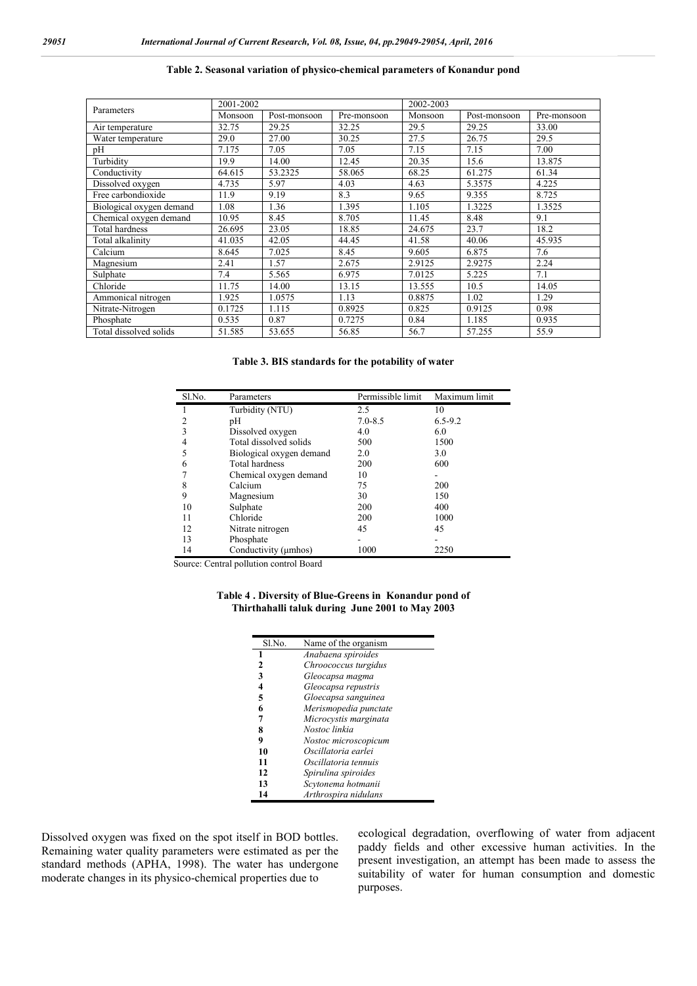## **Table 2. Seasonal variation of physico-chemical parameters of Konandur pond**

|                          | 2001-2002               |         |             | 2002-2003 |              |             |  |  |
|--------------------------|-------------------------|---------|-------------|-----------|--------------|-------------|--|--|
| Parameters               | Monsoon<br>Post-monsoon |         | Pre-monsoon | Monsoon   | Post-monsoon | Pre-monsoon |  |  |
| Air temperature          | 32.75                   | 29.25   | 32.25       | 29.5      | 29.25        | 33.00       |  |  |
| Water temperature        | 29.0                    | 27.00   | 30.25       | 27.5      | 26.75        | 29.5        |  |  |
| pH                       | 7.175                   | 7.05    | 7.05        | 7.15      | 7.15         | 7.00        |  |  |
| Turbidity                | 19.9                    | 14.00   | 12.45       | 20.35     | 15.6         | 13.875      |  |  |
| Conductivity             | 64.615                  | 53.2325 | 58.065      | 68.25     | 61.275       | 61.34       |  |  |
| Dissolved oxygen         | 4.735                   | 5.97    | 4.03        | 4.63      | 5.3575       | 4.225       |  |  |
| Free carbondioxide       | 11.9                    | 9.19    | 8.3         | 9.65      | 9.355        | 8.725       |  |  |
| Biological oxygen demand | 1.08<br>1.36            |         | 1.395       | 1.105     | 1.3225       | 1.3525      |  |  |
| Chemical oxygen demand   | 10.95                   | 8.45    | 8.705       | 11.45     | 8.48         | 9.1         |  |  |
| Total hardness           | 26.695                  | 23.05   | 18.85       | 24.675    | 23.7         | 18.2        |  |  |
| Total alkalinity         | 41.035                  | 42.05   | 44.45       | 41.58     | 40.06        | 45.935      |  |  |
| Calcium                  | 8.645                   | 7.025   | 8.45        | 9.605     | 6.875        | 7.6         |  |  |
| Magnesium                | 2.41                    | 1.57    | 2.675       | 2.9125    | 2.9275       | 2.24        |  |  |
| Sulphate                 | 7.4                     | 5.565   | 6.975       | 7.0125    | 5.225        | 7.1         |  |  |
| Chloride                 | 11.75                   | 14.00   | 13.15       | 13.555    | 10.5         | 14.05       |  |  |
| Ammonical nitrogen       | 1.925                   | 1.0575  | 1.13        | 0.8875    | 1.02         | 1.29        |  |  |
| Nitrate-Nitrogen         | 0.1725                  | 1.115   | 0.8925      | 0.825     | 0.9125       | 0.98        |  |  |
| Phosphate                | 0.535                   | 0.87    | 0.7275      | 0.84      | 1.185        | 0.935       |  |  |
| Total dissolved solids   | 51.585                  | 53.655  | 56.85       | 56.7      | 57.255       | 55.9        |  |  |

#### **Table 3. BIS standards for the potability of water**

| Sl.No. | Parameters               | Permissible limit | Maximum limit |
|--------|--------------------------|-------------------|---------------|
|        | Turbidity (NTU)          | 2.5               | 10            |
| 2      | pH                       | $7.0 - 8.5$       | $6.5 - 9.2$   |
|        | Dissolved oxygen         | 4.0               | 6.0           |
| 4      | Total dissolved solids   | 500               | 1500          |
|        | Biological oxygen demand | 2.0               | 3.0           |
| 6      | Total hardness           | 200               | 600           |
|        | Chemical oxygen demand   | 10                |               |
| 8      | Calcium                  | 75                | 200           |
| 9      | Magnesium                | 30                | 150           |
| 10     | Sulphate                 | 200               | 400           |
| 11     | Chloride                 | 200               | 1000          |
| 12     | Nitrate nitrogen         | 45                | 45            |
| 13     | Phosphate                |                   |               |
| 14     | Conductivity (umhos)     | 1000              | 2250          |

Source: Central pollution control Board

#### **Table 4 . Diversity of Blue-Greens in Konandur pond of Thirthahalli taluk during June 2001 to May 2003**

| Sl.No. | Name of the organism  |
|--------|-----------------------|
| 1      | Anabaena spiroides    |
| 2      | Chroococcus turgidus  |
| 3      | Gleocapsa magma       |
| 4      | Gleocapsa repustris   |
| 5      | Gloecapsa sanguinea   |
| 6      | Merismopedia punctate |
| 7      | Microcystis marginata |
| 8      | Nostoc linkia         |
| 9      | Nostoc microscopicum  |
| 10     | Oscillatoria earlei   |
| 11     | Oscillatoria tennuis  |
| 12     | Spirulina spiroides   |
| 13     | Scytonema hotmanii    |
| 14     | Arthrospira nidulans  |

Dissolved oxygen was fixed on the spot itself in BOD bottles. Remaining water quality parameters were estimated as per the standard methods (APHA, 1998). The water has undergone moderate changes in its physico-chemical properties due to

ecological degradation, overflowing of water from adjacent paddy fields and other excessive human activities. In the present investigation, an attempt has been made to assess the suitability of water for human consumption and domestic purposes.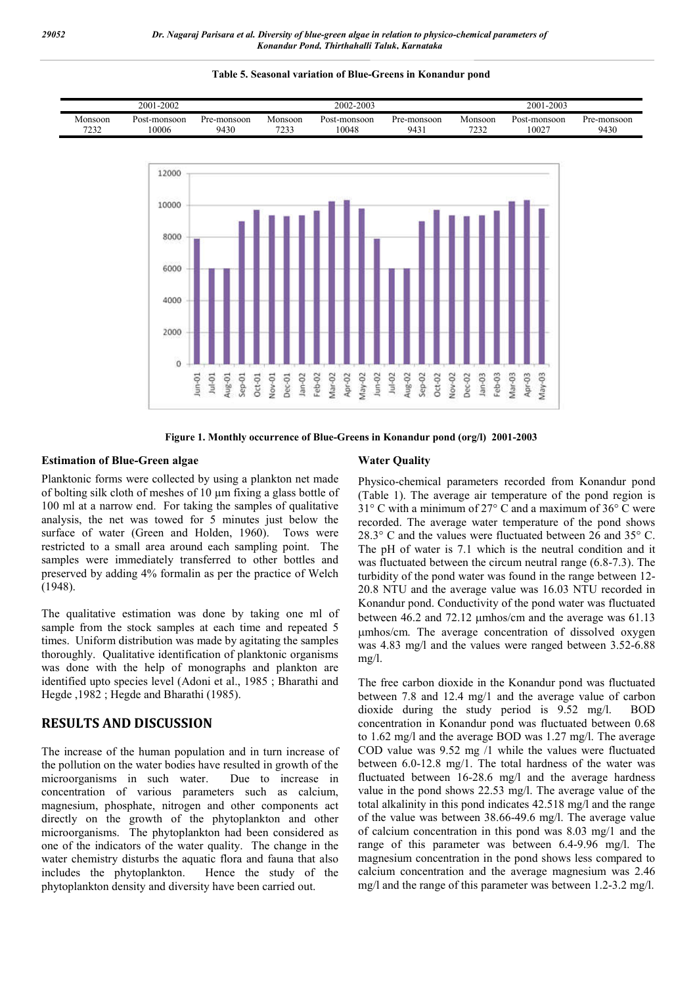#### **Table 5. Seasonal variation of Blue-Greens in Konandur pond**





**Figure 1. Monthly occurrence of Blue-Greens in Konandur pond (org/l) 2001-2003**

### **Estimation of Blue-Green algae**

Planktonic forms were collected by using a plankton net made of bolting silk cloth of meshes of 10 µm fixing a glass bottle of 100 ml at a narrow end. For taking the samples of qualitative analysis, the net was towed for 5 minutes just below the surface of water (Green and Holden, 1960). Tows were restricted to a small area around each sampling point. The samples were immediately transferred to other bottles and preserved by adding 4% formalin as per the practice of Welch (1948).

The qualitative estimation was done by taking one ml of sample from the stock samples at each time and repeated 5 times. Uniform distribution was made by agitating the samples thoroughly. Qualitative identification of planktonic organisms was done with the help of monographs and plankton are identified upto species level (Adoni et al., 1985 ; Bharathi and Hegde ,1982 ; Hegde and Bharathi (1985).

# **RESULTS AND DISCUSSION**

The increase of the human population and in turn increase of the pollution on the water bodies have resulted in growth of the microorganisms in such water. Due to increase in concentration of various parameters such as calcium, magnesium, phosphate, nitrogen and other components act directly on the growth of the phytoplankton and other microorganisms. The phytoplankton had been considered as one of the indicators of the water quality. The change in the water chemistry disturbs the aquatic flora and fauna that also includes the phytoplankton. Hence the study of the phytoplankton density and diversity have been carried out.

#### **Water Quality**

Physico-chemical parameters recorded from Konandur pond (Table 1). The average air temperature of the pond region is 31° C with a minimum of 27° C and a maximum of 36° C were recorded. The average water temperature of the pond shows 28.3° C and the values were fluctuated between 26 and 35° C. The pH of water is 7.1 which is the neutral condition and it was fluctuated between the circum neutral range (6.8-7.3). The turbidity of the pond water was found in the range between 12- 20.8 NTU and the average value was 16.03 NTU recorded in Konandur pond. Conductivity of the pond water was fluctuated between 46.2 and 72.12 µmhos/cm and the average was 61.13 mhos/cm. The average concentration of dissolved oxygen was 4.83 mg/l and the values were ranged between 3.52-6.88 mg/l.

The free carbon dioxide in the Konandur pond was fluctuated between 7.8 and 12.4 mg/1 and the average value of carbon dioxide during the study period is 9.52 mg/l. BOD concentration in Konandur pond was fluctuated between 0.68 to 1.62 mg/l and the average BOD was 1.27 mg/l. The average COD value was 9.52 mg /1 while the values were fluctuated between 6.0-12.8 mg/1. The total hardness of the water was fluctuated between 16-28.6 mg/l and the average hardness value in the pond shows 22.53 mg/l. The average value of the total alkalinity in this pond indicates 42.518 mg/l and the range of the value was between 38.66-49.6 mg/l. The average value of calcium concentration in this pond was 8.03 mg/1 and the range of this parameter was between 6.4-9.96 mg/l. The magnesium concentration in the pond shows less compared to calcium concentration and the average magnesium was 2.46 mg/l and the range of this parameter was between 1.2-3.2 mg/l.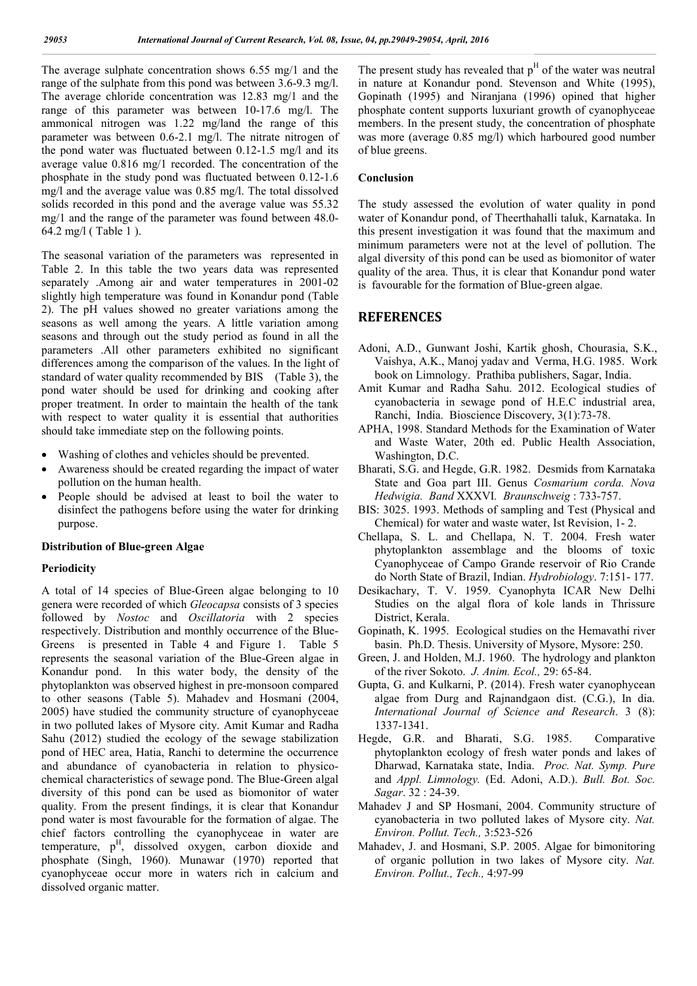The average sulphate concentration shows 6.55 mg/1 and the range of the sulphate from this pond was between 3.6-9.3 mg/l. The average chloride concentration was 12.83 mg/1 and the range of this parameter was between 10-17.6 mg/l. The ammonical nitrogen was 1.22 mg/land the range of this parameter was between 0.6-2.1 mg/l. The nitrate nitrogen of the pond water was fluctuated between 0.12-1.5 mg/l and its average value 0.816 mg/1 recorded. The concentration of the phosphate in the study pond was fluctuated between 0.12-1.6 mg/l and the average value was 0.85 mg/l. The total dissolved solids recorded in this pond and the average value was 55.32 mg/1 and the range of the parameter was found between 48.0- 64.2 mg/l ( Table 1 ).

The seasonal variation of the parameters was represented in Table 2. In this table the two years data was represented separately .Among air and water temperatures in 2001-02 slightly high temperature was found in Konandur pond (Table 2). The pH values showed no greater variations among the seasons as well among the years. A little variation among seasons and through out the study period as found in all the parameters .All other parameters exhibited no significant differences among the comparison of the values. In the light of standard of water quality recommended by BIS (Table 3), the pond water should be used for drinking and cooking after proper treatment. In order to maintain the health of the tank with respect to water quality it is essential that authorities should take immediate step on the following points.

- Washing of clothes and vehicles should be prevented.
- Awareness should be created regarding the impact of water pollution on the human health.
- People should be advised at least to boil the water to disinfect the pathogens before using the water for drinking purpose.

## **Distribution of Blue-green Algae**

#### **Periodicity**

A total of 14 species of Blue-Green algae belonging to 10 genera were recorded of which *Gleocapsa* consists of 3 species followed by *Nostoc* and *Oscillatoria* with 2 species respectively. Distribution and monthly occurrence of the Blue-Greens is presented in Table 4 and Figure 1. Table 5 represents the seasonal variation of the Blue-Green algae in Konandur pond. In this water body, the density of the phytoplankton was observed highest in pre-monsoon compared to other seasons (Table 5). Mahadev and Hosmani (2004, 2005) have studied the community structure of cyanophyceae in two polluted lakes of Mysore city. Amit Kumar and Radha Sahu (2012) studied the ecology of the sewage stabilization pond of HEC area, Hatia, Ranchi to determine the occurrence and abundance of cyanobacteria in relation to physicochemical characteristics of sewage pond. The Blue-Green algal diversity of this pond can be used as biomonitor of water quality. From the present findings, it is clear that Konandur pond water is most favourable for the formation of algae. The chief factors controlling the cyanophyceae in water are temperature,  $p<sup>H</sup>$ , dissolved oxygen, carbon dioxide and phosphate (Singh, 1960). Munawar (1970) reported that cyanophyceae occur more in waters rich in calcium and dissolved organic matter.

The present study has revealed that  $p<sup>H</sup>$  of the water was neutral in nature at Konandur pond. Stevenson and White (1995), Gopinath (1995) and Niranjana (1996) opined that higher phosphate content supports luxuriant growth of cyanophyceae members. In the present study, the concentration of phosphate was more (average 0.85 mg/l) which harboured good number of blue greens.

#### **Conclusion**

The study assessed the evolution of water quality in pond water of Konandur pond, of Theerthahalli taluk, Karnataka. In this present investigation it was found that the maximum and minimum parameters were not at the level of pollution. The algal diversity of this pond can be used as biomonitor of water quality of the area. Thus, it is clear that Konandur pond water is favourable for the formation of Blue-green algae.

## **REFERENCES**

- Adoni, A.D., Gunwant Joshi, Kartik ghosh, Chourasia, S.K., Vaishya, A.K., Manoj yadav and Verma, H.G. 1985. Work book on Limnology. Prathiba publishers, Sagar, India.
- Amit Kumar and Radha Sahu. 2012. Ecological studies of cyanobacteria in sewage pond of H.E.C industrial area, Ranchi, India. Bioscience Discovery, 3(1):73-78.
- APHA, 1998. Standard Methods for the Examination of Water and Waste Water, 20th ed. Public Health Association, Washington, D.C.
- Bharati, S.G. and Hegde, G.R. 1982. Desmids from Karnataka State and Goa part III. Genus *Cosmarium corda. Nova Hedwigia. Band* XXXVI*. Braunschweig* : 733-757.
- BIS: 3025. 1993. Methods of sampling and Test (Physical and Chemical) for water and waste water, Ist Revision, 1- 2.
- Chellapa, S. L. and Chellapa, N. T. 2004. Fresh water phytoplankton assemblage and the blooms of toxic Cyanophyceae of Campo Grande reservoir of Rio Crande do North State of Brazil, Indian. *Hydrobiology*. 7:151- 177.
- Desikachary, T. V. 1959. Cyanophyta ICAR New Delhi Studies on the algal flora of kole lands in Thrissure District, Kerala.
- Gopinath, K. 1995. Ecological studies on the Hemavathi river basin. Ph.D. Thesis. University of Mysore, Mysore: 250.
- Green, J. and Holden, M.J. 1960. The hydrology and plankton of the river Sokoto. *J. Anim. Ecol.,* 29: 65-84.
- Gupta, G. and Kulkarni, P. (2014). Fresh water cyanophycean algae from Durg and Rajnandgaon dist. (C.G.), In dia. *International Journal of Science and Research*. 3 (8): 1337-1341.
- Hegde, G.R. and Bharati, S.G. 1985. Comparative phytoplankton ecology of fresh water ponds and lakes of Dharwad, Karnataka state, India. *Proc. Nat. Symp. Pure*  and *Appl. Limnology.* (Ed. Adoni, A.D.). *Bull. Bot. Soc. Sagar*. 32 : 24-39.
- Mahadev J and SP Hosmani, 2004. Community structure of cyanobacteria in two polluted lakes of Mysore city. *Nat. Environ. Pollut. Tech.,* 3:523-526
- Mahadev, J. and Hosmani, S.P. 2005. Algae for bimonitoring of organic pollution in two lakes of Mysore city. *Nat. Environ. Pollut., Tech.,* 4:97-99